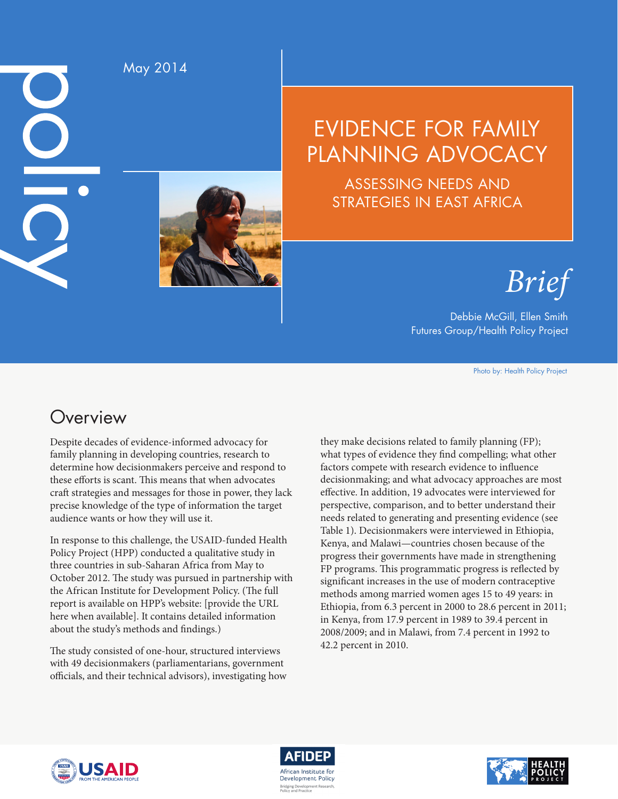$\underline{\textbf{O}}$  $\overline{\bigcirc}$ 

May 2014

# EVIDENCE FOR FAMILY PLANNING ADVOCACY

ASSESSING NEEDS AND STRATEGIES IN EAST AFRICA

*Brief*

Debbie McGill, Ellen Smith Futures Group/Health Policy Project

Photo by: Health Policy Project

# **Overview**

Despite decades of evidence-informed advocacy for family planning in developing countries, research to determine how decisionmakers perceive and respond to these efforts is scant. This means that when advocates craft strategies and messages for those in power, they lack precise knowledge of the type of information the target audience wants or how they will use it.

In response to this challenge, the USAID-funded Health Policy Project (HPP) conducted a qualitative study in three countries in sub-Saharan Africa from May to October 2012. The study was pursued in partnership with the African Institute for Development Policy. (The full report is available on HPP's website: [provide the URL here when available]. It contains detailed information about the study's methods and findings.)

The study consisted of one-hour, structured interviews with 49 decisionmakers (parliamentarians, government officials, and their technical advisors), investigating how

they make decisions related to family planning (FP); what types of evidence they find compelling; what other factors compete with research evidence to influence decisionmaking; and what advocacy approaches are most effective. In addition, 19 advocates were interviewed for perspective, comparison, and to better understand their needs related to generating and presenting evidence (see Table 1). Decisionmakers were interviewed in Ethiopia, Kenya, and Malawi—countries chosen because of the progress their governments have made in strengthening FP programs. This programmatic progress is reflected by significant increases in the use of modern contraceptive methods among married women ages 15 to 49 years: in Ethiopia, from 6.3 percent in 2000 to 28.6 percent in 2011; in Kenya, from 17.9 percent in 1989 to 39.4 percent in 2008/2009; and in Malawi, from 7.4 percent in 1992 to 42.2 percent in 2010.





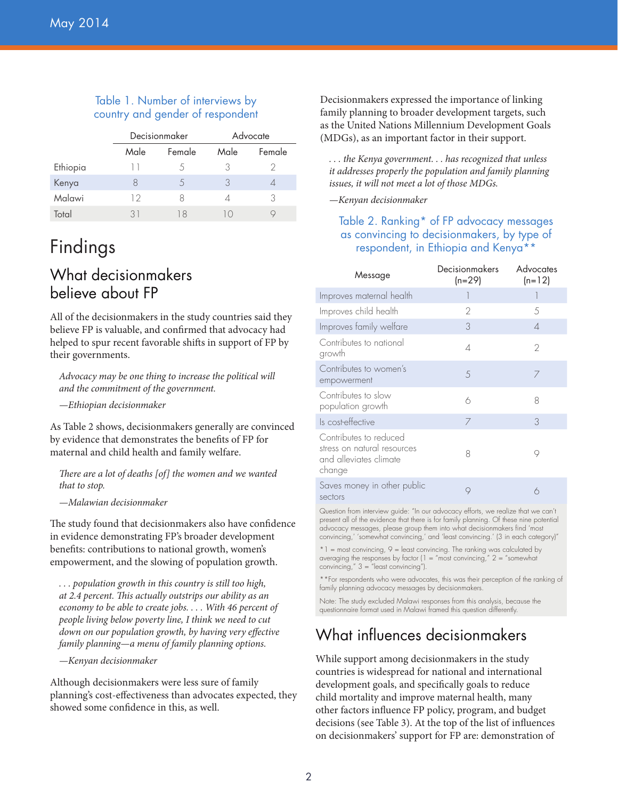#### Table 1. Number of interviews by country and gender of respondent

|          | Decisionmaker |        | Advocate   |        |
|----------|---------------|--------|------------|--------|
|          | Male          | Female | Male       | Female |
| Ethiopia | $\Box$        |        | 3          |        |
| Kenya    | Χ             | 5      | 3          |        |
| Malawi   | 12            | Χ      |            | 3      |
| Total    | 31            | 18     | $\vert$ () |        |

# Findings

# What decisionmakers believe about FP

All of the decisionmakers in the study countries said they believe FP is valuable, and confirmed that advocacy had helped to spur recent favorable shifts in support of FP by their governments.

*Advocacy may be one thing to increase the political will and the commitment of the government.*

*—Ethiopian decisionmaker*

As Table 2 shows, decisionmakers generally are convinced by evidence that demonstrates the benefits of FP for maternal and child health and family welfare.

*There are a lot of deaths [of] the women and we wanted that to stop.*

*—Malawian decisionmaker*

The study found that decisionmakers also have confidence in evidence demonstrating FP's broader development benefits: contributions to national growth, women's empowerment, and the slowing of population growth.

*. . . population growth in this country is still too high, at 2.4 percent. This actually outstrips our ability as an economy to be able to create jobs. . . . With 46 percent of people living below poverty line, I think we need to cut down on our population growth, by having very effective family planning—a menu of family planning options.*

*—Kenyan decisionmaker*

Although decisionmakers were less sure of family planning's cost-effectiveness than advocates expected, they showed some confidence in this, as well.

Decisionmakers expressed the importance of linking family planning to broader development targets, such as the United Nations Millennium Development Goals (MDGs), as an important factor in their support.

*. . . the Kenya government. . . has recognized that unless it addresses properly the population and family planning issues, it will not meet a lot of those MDGs.*

*—Kenyan decisionmaker*

#### Table 2. Ranking\* of FP advocacy messages as convincing to decisionmakers, by type of respondent, in Ethiopia and Kenya\*\*

| Message                                                                                   | Decisionmakers<br>(n=29) | <b>Advocates</b><br>$(n=12)$ |
|-------------------------------------------------------------------------------------------|--------------------------|------------------------------|
| Improves maternal health                                                                  |                          |                              |
| Improves child health                                                                     | $\overline{2}$           | 5                            |
| Improves family welfare                                                                   | 3                        | $\Delta$                     |
| Contributes to national<br>growth                                                         | 4                        | $\overline{2}$               |
| Contributes to women's<br>empowerment                                                     | 5                        | 7                            |
| Contributes to slow<br>population growth                                                  | 6                        | 8                            |
| Is cost-effective                                                                         | 7                        | 3                            |
| Contributes to reduced<br>stress on natural resources<br>and alleviates climate<br>change | 8                        | 9                            |
| Saves money in other public<br>sectors                                                    | 9                        | 6                            |

Question from interview guide: "In our advocacy efforts, we realize that we can't present all of the evidence that there is for family planning. Of these nine potential advocacy messages, please group them into what decisionmakers find 'most convincing,' 'somewhat convincing,' and 'least convincing.' (3 in each category)"

 $*1$  = most convincing, 9 = least convincing. The ranking was calculated by averaging the responses by factor (1 = "most convincing," 2 = "somewhat convincing,"  $3 =$  "least convincing").

\*\*For respondents who were advocates, this was their perception of the ranking of family planning advocacy messages by decisionmakers.

Note: The study excluded Malawi responses from this analysis, because the questionnaire format used in Malawi framed this question differently.

# What influences decisionmakers

While support among decisionmakers in the study countries is widespread for national and international development goals, and specifically goals to reduce child mortality and improve maternal health, many other factors influence FP policy, program, and budget decisions (see Table 3). At the top of the list of influences on decisionmakers' support for FP are: demonstration of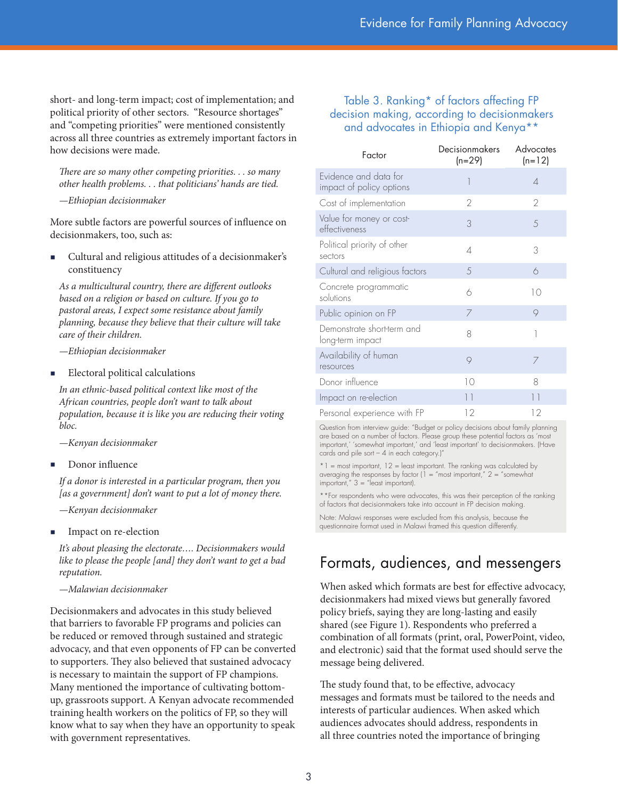short- and long-term impact; cost of implementation; and political priority of other sectors. "Resource shortages" and "competing priorities" were mentioned consistently across all three countries as extremely important factors in how decisions were made.

*There are so many other competing priorities. . . so many other health problems. . . that politicians' hands are tied.*

*—Ethiopian decisionmaker*

More subtle factors are powerful sources of influence on decisionmakers, too, such as:

 Cultural and religious attitudes of a decisionmaker's constituency

*As a multicultural country, there are different outlooks based on a religion or based on culture. If you go to pastoral areas, I expect some resistance about family planning, because they believe that their culture will take care of their children.*

*—Ethiopian decisionmaker*

Electoral political calculations

*In an ethnic-based political context like most of the African countries, people don't want to talk about population, because it is like you are reducing their voting bloc.*

*—Kenyan decisionmaker*

Donor influence

*If a donor is interested in a particular program, then you [as a government] don't want to put a lot of money there.*

*—Kenyan decisionmaker*

Impact on re-election

*It's about pleasing the electorate…. Decisionmakers would like to please the people [and] they don't want to get a bad reputation.*

*—Malawian decisionmaker*

Decisionmakers and advocates in this study believed that barriers to favorable FP programs and policies can be reduced or removed through sustained and strategic advocacy, and that even opponents of FP can be converted to supporters. They also believed that sustained advocacy is necessary to maintain the support of FP champions. Many mentioned the importance of cultivating bottomup, grassroots support. A Kenyan advocate recommended training health workers on the politics of FP, so they will know what to say when they have an opportunity to speak with government representatives.

#### Table 3. Ranking\* of factors affecting FP decision making, according to decisionmakers and advocates in Ethiopia and Kenya\*\*

| Factor                                            | Decisionmakers<br>$(n=29)$ | Advocates<br>$(n=12)$ |
|---------------------------------------------------|----------------------------|-----------------------|
| Evidence and data for<br>impact of policy options | 1                          | 4                     |
| Cost of implementation                            | $\mathfrak{D}$             | 2                     |
| Value for money or cost-<br>effectiveness         | 3                          | 5                     |
| Political priority of other<br>sectors            | △                          | 3                     |
| Cultural and religious factors                    | 5                          | 6                     |
| Concrete programmatic<br>solutions                | 6                          | 10                    |
| Public opinion on FP                              | 7                          | 9                     |
| Demonstrate short-term and<br>long-term impact    | 8                          | 1                     |
| Availability of human<br>resources                | 9                          | 7                     |
| Donor influence                                   | 10                         | 8                     |
| Impact on re-election                             | 11                         | 11                    |
| Personal experience with FP                       | 12                         | 12                    |

Question from interview guide: "Budget or policy decisions about family planning are based on a number of factors. Please group these potential factors as 'most important,' 'somewhat important,' and 'least important' to decisionmakers. (Have cards and pile sort  $-4$  in each category.)"

 $*1$  = most important, 12 = least important. The ranking was calculated by averaging the responses by factor ( $1 =$  "most important,"  $2 =$  "somewhat important," 3 = "least important).

\*\*For respondents who were advocates, this was their perception of the ranking of factors that decisionmakers take into account in FP decision making.

Note: Malawi responses were excluded from this analysis, because the questionnaire format used in Malawi framed this question differently.

### Formats, audiences, and messengers

When asked which formats are best for effective advocacy, decisionmakers had mixed views but generally favored policy briefs, saying they are long-lasting and easily shared (see Figure 1). Respondents who preferred a combination of all formats (print, oral, PowerPoint, video, and electronic) said that the format used should serve the message being delivered.

The study found that, to be effective, advocacy messages and formats must be tailored to the needs and interests of particular audiences. When asked which audiences advocates should address, respondents in all three countries noted the importance of bringing